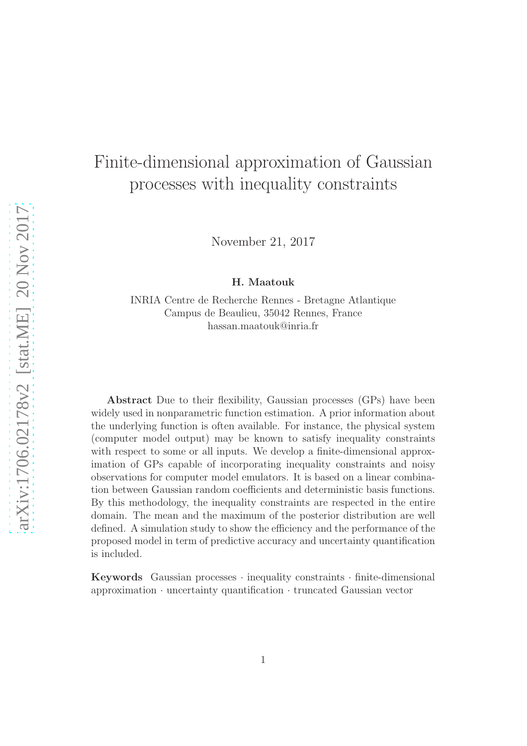# Finite-dimensional approximation of Gaussian processes with inequality constraints

November 21, 2017

H. Maatouk

INRIA Centre de Recherche Rennes - Bretagne Atlantique Campus de Beaulieu, 35042 Rennes, France hassan.maatouk@inria.fr

Abstract Due to their flexibility, Gaussian processes (GPs) have been widely used in nonparametric function estimation. A prior information about the underlying function is often available. For instance, the physical system (computer model output) may be known to satisfy inequality constraints with respect to some or all inputs. We develop a finite-dimensional approximation of GPs capable of incorporating inequality constraints and noisy observations for computer model emulators. It is based on a linear combination between Gaussian random coefficients and deterministic basis functions. By this methodology, the inequality constraints are respected in the entire domain. The mean and the maximum of the posterior distribution are well defined. A simulation study to show the efficiency and the performance of the proposed model in term of predictive accuracy and uncertainty quantification is included.

Keywords Gaussian processes  $\cdot$  inequality constraints  $\cdot$  finite-dimensional approximation · uncertainty quantification · truncated Gaussian vector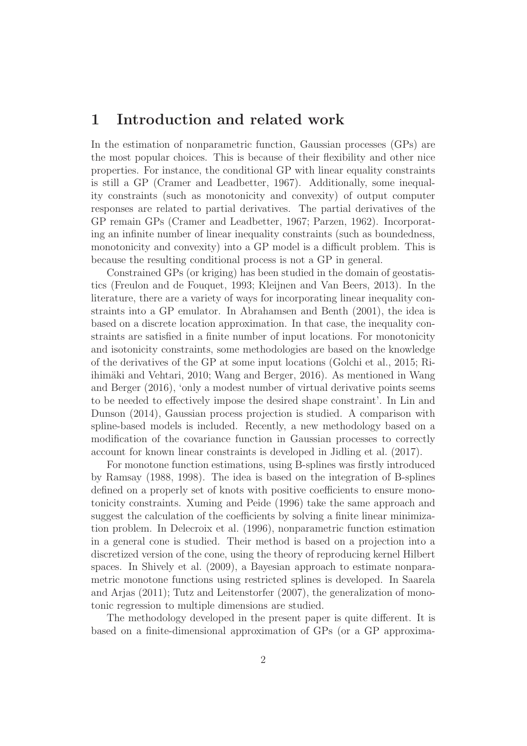# 1 Introduction and related work

In the estimation of nonparametric function, Gaussian processes (GPs) are the most popular choices. This is because of their flexibility and other nice properties. For instance, the conditional GP with linear equality constraints is still a GP (Cramer and Leadbetter, 1967). Additionally, some inequality constraints (such as monotonicity and convexity) of output computer responses are related to partial derivatives. The partial derivatives of the GP remain GPs (Cramer and Leadbetter, 1967; Parzen, 1962). Incorporating an infinite number of linear inequality constraints (such as boundedness, monotonicity and convexity) into a GP model is a difficult problem. This is because the resulting conditional process is not a GP in general.

Constrained GPs (or kriging) has been studied in the domain of geostatistics (Freulon and de Fouquet, 1993; Kleijnen and Van Beers, 2013). In the literature, there are a variety of ways for incorporating linear inequality constraints into a GP emulator. In Abrahamsen and Benth (2001), the idea is based on a discrete location approximation. In that case, the inequality constraints are satisfied in a finite number of input locations. For monotonicity and isotonicity constraints, some methodologies are based on the knowledge of the derivatives of the GP at some input locations (Golchi et al., 2015; Riihimäki and Vehtari, 2010; Wang and Berger, 2016). As mentioned in Wang and Berger (2016), 'only a modest number of virtual derivative points seems to be needed to effectively impose the desired shape constraint'. In Lin and Dunson (2014), Gaussian process projection is studied. A comparison with spline-based models is included. Recently, a new methodology based on a modification of the covariance function in Gaussian processes to correctly account for known linear constraints is developed in Jidling et al. (2017).

For monotone function estimations, using B-splines was firstly introduced by Ramsay (1988, 1998). The idea is based on the integration of B-splines defined on a properly set of knots with positive coefficients to ensure monotonicity constraints. Xuming and Peide (1996) take the same approach and suggest the calculation of the coefficients by solving a finite linear minimization problem. In Delecroix et al. (1996), nonparametric function estimation in a general cone is studied. Their method is based on a projection into a discretized version of the cone, using the theory of reproducing kernel Hilbert spaces. In Shively et al. (2009), a Bayesian approach to estimate nonparametric monotone functions using restricted splines is developed. In Saarela and Arjas (2011); Tutz and Leitenstorfer (2007), the generalization of monotonic regression to multiple dimensions are studied.

The methodology developed in the present paper is quite different. It is based on a finite-dimensional approximation of GPs (or a GP approxima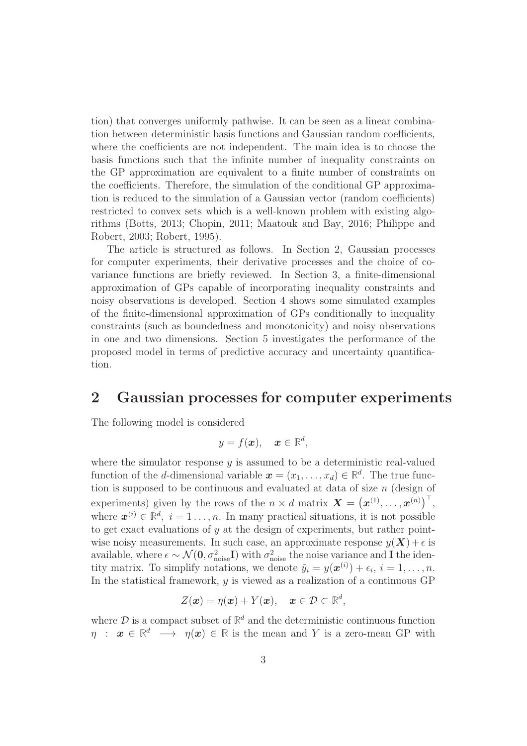tion) that converges uniformly pathwise. It can be seen as a linear combination between deterministic basis functions and Gaussian random coefficients, where the coefficients are not independent. The main idea is to choose the basis functions such that the infinite number of inequality constraints on the GP approximation are equivalent to a finite number of constraints on the coefficients. Therefore, the simulation of the conditional GP approximation is reduced to the simulation of a Gaussian vector (random coefficients) restricted to convex sets which is a well-known problem with existing algorithms (Botts, 2013; Chopin, 2011; Maatouk and Bay, 2016; Philippe and Robert, 2003; Robert, 1995).

The article is structured as follows. In Section 2, Gaussian processes for computer experiments, their derivative processes and the choice of covariance functions are briefly reviewed. In Section 3, a finite-dimensional approximation of GPs capable of incorporating inequality constraints and noisy observations is developed. Section 4 shows some simulated examples of the finite-dimensional approximation of GPs conditionally to inequality constraints (such as boundedness and monotonicity) and noisy observations in one and two dimensions. Section 5 investigates the performance of the proposed model in terms of predictive accuracy and uncertainty quantification.

# 2 Gaussian processes for computer experiments

The following model is considered

$$
y = f(\boldsymbol{x}), \quad \boldsymbol{x} \in \mathbb{R}^d,
$$

where the simulator response  $y$  is assumed to be a deterministic real-valued function of the *d*-dimensional variable  $\boldsymbol{x} = (x_1, \ldots, x_d) \in \mathbb{R}^d$ . The true function is supposed to be continuous and evaluated at data of size  $n$  (design of experiments) given by the rows of the  $n \times d$  matrix  $\boldsymbol{X} = (\boldsymbol{x}^{(1)}, \dots, \boldsymbol{x}^{(n)})^\top$ , where  $\mathbf{x}^{(i)} \in \mathbb{R}^d$ ,  $i = 1 \ldots, n$ . In many practical situations, it is not possible to get exact evaluations of  $y$  at the design of experiments, but rather pointwise noisy measurements. In such case, an approximate response  $y(\mathbf{X}) + \epsilon$  is available, where  $\epsilon \sim \mathcal{N}(\mathbf{0}, \sigma_{\text{noise}}^2 \mathbf{I})$  with  $\sigma_{\text{noise}}^2$  the noise variance and **I** the identity matrix. To simplify notations, we denote  $\tilde{y}_i = y(\boldsymbol{x}^{(i)}) + \epsilon_i, i = 1, \ldots, n$ . In the statistical framework,  $y$  is viewed as a realization of a continuous GP

$$
Z(\boldsymbol{x}) = \eta(\boldsymbol{x}) + Y(\boldsymbol{x}), \quad \boldsymbol{x} \in \mathcal{D} \subset \mathbb{R}^d,
$$

where  $\mathcal{D}$  is a compact subset of  $\mathbb{R}^d$  and the deterministic continuous function  $\eta$  :  $x \in \mathbb{R}^d \longrightarrow \eta(x) \in \mathbb{R}$  is the mean and Y is a zero-mean GP with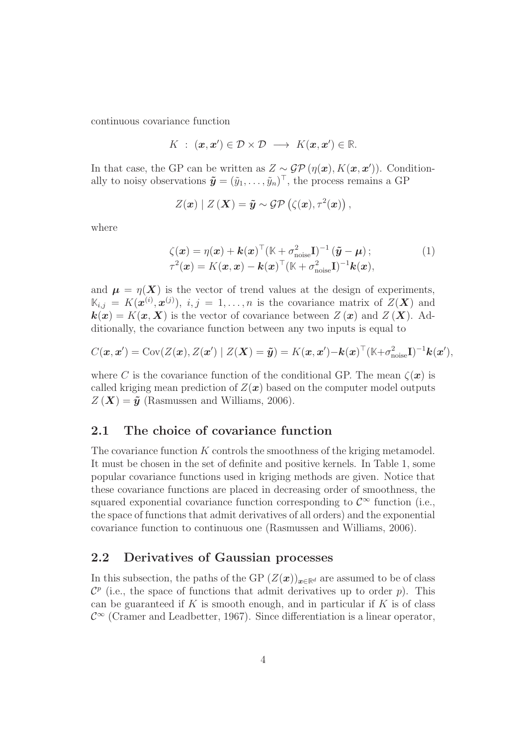continuous covariance function

$$
K : (\mathbf{x}, \mathbf{x}') \in \mathcal{D} \times \mathcal{D} \longrightarrow K(\mathbf{x}, \mathbf{x}') \in \mathbb{R}.
$$

In that case, the GP can be written as  $Z \sim \mathcal{GP}(\eta(\boldsymbol{x}), K(\boldsymbol{x}, \boldsymbol{x}'))$ . Conditionally to noisy observations  $\tilde{\mathbf{y}} = (\tilde{y}_1, \dots, \tilde{y}_n)^\top$ , the process remains a GP

$$
Z(\boldsymbol{x}) | Z(\boldsymbol{X}) = \tilde{\boldsymbol{y}} \sim \mathcal{GP}(\zeta(\boldsymbol{x}), \tau^2(\boldsymbol{x})),
$$

where

$$
\zeta(\boldsymbol{x}) = \eta(\boldsymbol{x}) + \boldsymbol{k}(\boldsymbol{x})^{\top} (\mathbb{K} + \sigma_{\text{noise}}^2 \mathbf{I})^{-1} (\tilde{\boldsymbol{y}} - \boldsymbol{\mu});
$$
  
\n
$$
\tau^2(\boldsymbol{x}) = K(\boldsymbol{x}, \boldsymbol{x}) - \boldsymbol{k}(\boldsymbol{x})^{\top} (\mathbb{K} + \sigma_{\text{noise}}^2 \mathbf{I})^{-1} \boldsymbol{k}(\boldsymbol{x}),
$$
\n(1)

and  $\mu = \eta(X)$  is the vector of trend values at the design of experiments,  $\mathbb{K}_{i,j} = K(\mathbf{x}^{(i)}, \mathbf{x}^{(j)})$ ,  $i, j = 1, \ldots, n$  is the covariance matrix of  $Z(\mathbf{X})$  and  $k(x) = K(x, X)$  is the vector of covariance between  $Z(x)$  and  $Z(X)$ . Additionally, the covariance function between any two inputs is equal to

$$
C(\boldsymbol{x}, \boldsymbol{x}') = \text{Cov}(Z(\boldsymbol{x}), Z(\boldsymbol{x}') | Z(\boldsymbol{X}) = \tilde{\boldsymbol{y}}) = K(\boldsymbol{x}, \boldsymbol{x}') - k(\boldsymbol{x})^{\top} (K + \sigma_{\text{noise}}^2 \mathbf{I})^{-1} k(\boldsymbol{x}'),
$$

where C is the covariance function of the conditional GP. The mean  $\zeta(\mathbf{x})$  is called kriging mean prediction of  $Z(\boldsymbol{x})$  based on the computer model outputs  $Z(\boldsymbol{X}) = \tilde{\boldsymbol{y}}$  (Rasmussen and Williams, 2006).

### 2.1 The choice of covariance function

The covariance function K controls the smoothness of the kriging metamodel. It must be chosen in the set of definite and positive kernels. In Table 1, some popular covariance functions used in kriging methods are given. Notice that these covariance functions are placed in decreasing order of smoothness, the squared exponential covariance function corresponding to  $\mathcal{C}^{\infty}$  function (i.e., the space of functions that admit derivatives of all orders) and the exponential covariance function to continuous one (Rasmussen and Williams, 2006).

### 2.2 Derivatives of Gaussian processes

In this subsection, the paths of the GP  $(Z(\boldsymbol{x}))_{\boldsymbol{x}\in\mathbb{R}^d}$  are assumed to be of class  $\mathcal{C}^p$  (i.e., the space of functions that admit derivatives up to order p). This can be guaranteed if K is smooth enough, and in particular if K is of class  $\mathcal{C}^{\infty}$  (Cramer and Leadbetter, 1967). Since differentiation is a linear operator,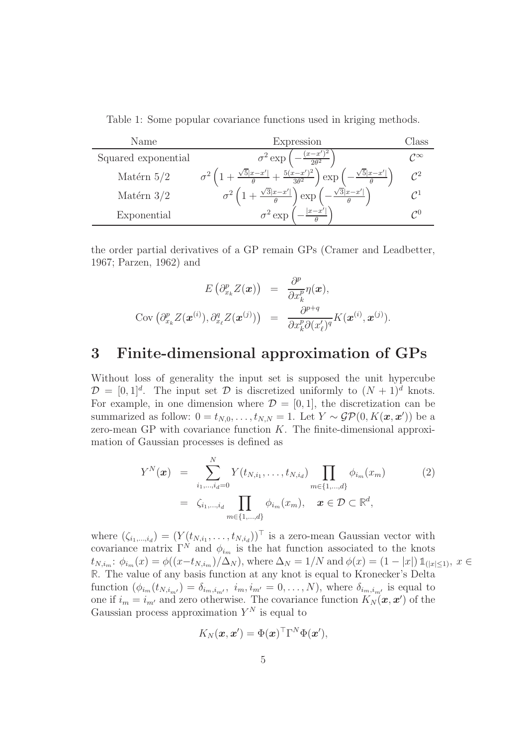Table 1: Some popular covariance functions used in kriging methods.

| Name                | Expression                                                                                                             | Ulass                  |
|---------------------|------------------------------------------------------------------------------------------------------------------------|------------------------|
| Squared exponential | $(x-x)$<br>$\sigma^2$ exp<br>$2\theta^2$                                                                               | $\mathcal{C}^{\infty}$ |
| Matérn $5/2$        | $\sqrt{5} x-x' $<br>$\frac{-x'}{x} + \frac{5(x-x')^2}{x}$<br>$\sqrt{5 x-x' }$<br>$\vert$ exp<br>$\overline{3\theta^2}$ |                        |
| Matérn $3/2$        | $\sqrt{3} x-x' $<br>$\pm \frac{\sqrt{3} x-x' }{\sqrt{3}}$<br>exp                                                       |                        |
| Exponential         | $\sigma^2$ exp                                                                                                         | $\mathcal{C}^0$        |

the order partial derivatives of a GP remain GPs (Cramer and Leadbetter, 1967; Parzen, 1962) and

$$
E\left(\partial_{x_k}^p Z(\boldsymbol{x})\right) = \frac{\partial^p}{\partial x_k^p} \eta(\boldsymbol{x}),
$$
  
 
$$
Cov\left(\partial_{x_k}^p Z(\boldsymbol{x}^{(i)}), \partial_{x_\ell}^q Z(\boldsymbol{x}^{(j)})\right) = \frac{\partial^{p+q}}{\partial x_k^p \partial (x_\ell')^q} K(\boldsymbol{x}^{(i)}, \boldsymbol{x}^{(j)}).
$$

# 3 Finite-dimensional approximation of GPs

Without loss of generality the input set is supposed the unit hypercube  $\mathcal{D} = [0, 1]^d$ . The input set  $\mathcal D$  is discretized uniformly to  $(N + 1)^d$  knots. For example, in one dimension where  $\mathcal{D} = [0, 1]$ , the discretization can be summarized as follow:  $0 = t_{N,0}, \ldots, t_{N,N} = 1$ . Let  $Y \sim \mathcal{GP}(0, K(\boldsymbol{x}, \boldsymbol{x}'))$  be a zero-mean GP with covariance function  $K$ . The finite-dimensional approximation of Gaussian processes is defined as

$$
Y^{N}(\boldsymbol{x}) = \sum_{i_{1},...,i_{d}=0}^{N} Y(t_{N,i_{1}},...,t_{N,i_{d}}) \prod_{m \in \{1,...,d\}} \phi_{i_{m}}(x_{m})
$$
(2)  

$$
= \zeta_{i_{1},...,i_{d}} \prod_{m \in \{1,...,d\}} \phi_{i_{m}}(x_{m}), \quad \boldsymbol{x} \in \mathcal{D} \subset \mathbb{R}^{d},
$$

where  $(\zeta_{i_1,\dots,i_d}) = (Y(t_{N,i_1},\dots,t_{N,i_d}))^{\top}$  is a zero-mean Gaussian vector with covariance matrix  $\Gamma^{N}$  and  $\phi_{i_m}$  is the hat function associated to the knots  $t_{N,i_m}: \phi_{i_m}(x) = \phi((x - t_{N,i_m})/\Delta_N)$ , where  $\Delta_N = 1/N$  and  $\phi(x) = (1 - |x|) \mathbb{1}_{(|x| \leq 1)}$ ,  $x \in$ **R**. The value of any basis function at any knot is equal to Kronecker's Delta function  $(\phi_{i_m}(t_{N,i_{m'}})=\delta_{i_m,i_{m'}}$ ,  $i_m,i_{m'}=0,\ldots,N)$ , where  $\delta_{i_m,i_{m'}}$  is equal to one if  $i_m = i_{m'}$  and zero otherwise. The covariance function  $K_N(\boldsymbol{x}, \boldsymbol{x}')$  of the Gaussian process approximation  $Y^N$  is equal to

$$
K_N(\boldsymbol{x}, \boldsymbol{x}') = \Phi(\boldsymbol{x})^{\top} \Gamma^{N} \Phi(\boldsymbol{x}'),
$$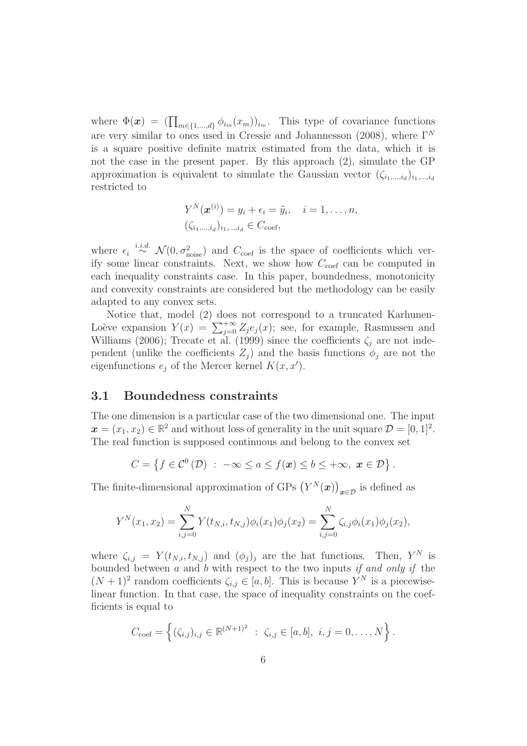where  $\Phi(\boldsymbol{x}) = (\prod_{m \in \{1,\ldots,d\}} \phi_{i_m}(x_m))_{i_m}$ . This type of covariance functions are very similar to ones used in Cressie and Johannesson (2008), where  $\Gamma^{N}$ is a square positive definite matrix estimated from the data, which it is not the case in the present paper. By this approach (2), simulate the GP approximation is equivalent to simulate the Gaussian vector  $(\zeta_{i_1,\dots,i_d})_{i_1,\dots,i_d}$ restricted to

$$
Y^N(\boldsymbol{x}^{(i)}) = y_i + \epsilon_i = \tilde{y}_i, \quad i = 1, \ldots, n,
$$
  

$$
(\zeta_{i_1,\ldots,i_d})_{i_1,\ldots,i_d} \in C_{\text{coef}},
$$

where  $\epsilon_i \stackrel{i.i.d.}{\sim} \mathcal{N}(0, \sigma_{\text{noise}}^2)$  and  $C_{\text{coef}}$  is the space of coefficients which verify some linear constraints. Next, we show how  $C_{\text{coef}}$  can be computed in each inequality constraints case. In this paper, boundedness, monotonicity and convexity constraints are considered but the methodology can be easily adapted to any convex sets.

Notice that, model (2) does not correspond to a truncated Karhunen-Loève expansion  $Y(x) = \sum_{j=0}^{+\infty} Z_j e_j(x)$ ; see, for example, Rasmussen and Williams (2006); Trecate et al. (1999) since the coefficients  $\zeta_i$  are not independent (unlike the coefficients  $Z_i$ ) and the basis functions  $\phi_i$  are not the eigenfunctions  $e_j$  of the Mercer kernel  $K(x, x')$ .

### 3.1 Boundedness constraints

The one dimension is a particular case of the two dimensional one. The input  $\boldsymbol{x} = (x_1, x_2) \in \mathbb{R}^2$  and without loss of generality in the unit square  $\mathcal{D} = [0, 1]^2$ . The real function is supposed continuous and belong to the convex set

$$
C = \left\{ f \in \mathcal{C}^0(\mathcal{D}) \ : \ -\infty \le a \le f(\boldsymbol{x}) \le b \le +\infty, \ \boldsymbol{x} \in \mathcal{D} \right\}.
$$

The finite-dimensional approximation of GPs  $(Y^N(x))_{x \in \mathcal{D}}$  is defined as

$$
Y^{N}(x_{1}, x_{2}) = \sum_{i,j=0}^{N} Y(t_{N,i}, t_{N,j})\phi_{i}(x_{1})\phi_{j}(x_{2}) = \sum_{i,j=0}^{N} \zeta_{i,j}\phi_{i}(x_{1})\phi_{j}(x_{2}),
$$

where  $\zeta_{i,j} = Y(t_{N,i}, t_{N,j})$  and  $(\phi_j)_j$  are the hat functions. Then,  $Y^N$  is bounded between  $a$  and  $b$  with respect to the two inputs if and only if the  $(N+1)^2$  random coefficients  $\zeta_{i,j} \in [a, b]$ . This is because  $Y^N$  is a piecewiselinear function. In that case, the space of inequality constraints on the coefficients is equal to

$$
C_{\text{coef}} = \left\{ (\zeta_{i,j})_{i,j} \in \mathbb{R}^{(N+1)^2} \; : \; \zeta_{i,j} \in [a, b], \; i, j = 0, \ldots, N \right\}.
$$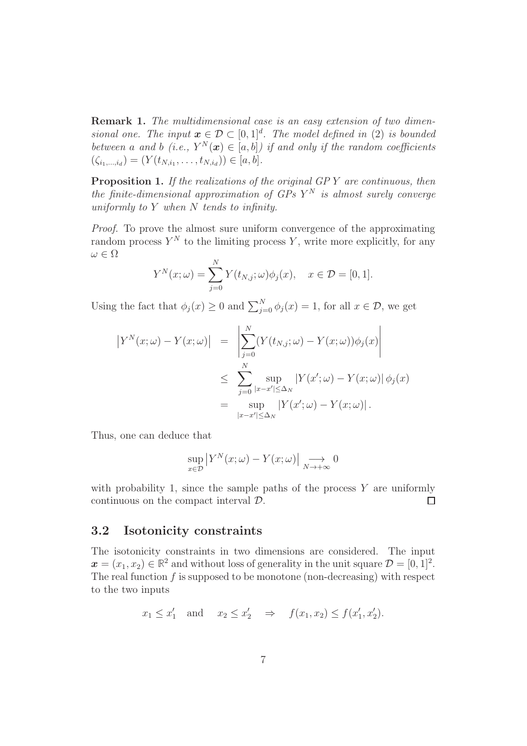Remark 1. The multidimensional case is an easy extension of two dimensional one. The input  $\boldsymbol{x} \in \mathcal{D} \subset [0,1]^d$ . The model defined in (2) is bounded between a and b (i.e.,  $Y^N(x) \in [a, b]$ ) if and only if the random coefficients  $(\zeta_{i_1,\dots,i_d}) = (Y(t_{N,i_1},\dots,t_{N,i_d})) \in [a,b].$ 

Proposition 1. If the realizations of the original GPY are continuous, then the finite-dimensional approximation of  $GPs$   $Y^N$  is almost surely converge uniformly to Y when N tends to infinity.

Proof. To prove the almost sure uniform convergence of the approximating random process  $Y^N$  to the limiting process Y, write more explicitly, for any  $\omega \in \Omega$ 

$$
Y^{N}(x; \omega) = \sum_{j=0}^{N} Y(t_{N,j}; \omega) \phi_{j}(x), \quad x \in \mathcal{D} = [0, 1].
$$

Using the fact that  $\phi_j(x) \ge 0$  and  $\sum_{j=0}^N \phi_j(x) = 1$ , for all  $x \in \mathcal{D}$ , we get

$$
\begin{aligned}\n\left| Y^N(x; \omega) - Y(x; \omega) \right| &= \left| \sum_{j=0}^N (Y(t_{N,j}; \omega) - Y(x; \omega)) \phi_j(x) \right| \\
&\leq \sum_{j=0}^N \sup_{|x-x'| \leq \Delta_N} \left| Y(x'; \omega) - Y(x; \omega) \right| \phi_j(x) \\
&= \sup_{|x-x'| \leq \Delta_N} \left| Y(x'; \omega) - Y(x; \omega) \right|. \n\end{aligned}
$$

Thus, one can deduce that

$$
\sup_{x \in \mathcal{D}} |Y^N(x; \omega) - Y(x; \omega)| \underset{N \to +\infty}{\longrightarrow} 0
$$

with probability 1, since the sample paths of the process  $Y$  are uniformly continuous on the compact interval D.  $\Box$ 

### 3.2 Isotonicity constraints

The isotonicity constraints in two dimensions are considered. The input  $\boldsymbol{x} = (x_1, x_2) \in \mathbb{R}^2$  and without loss of generality in the unit square  $\mathcal{D} = [0, 1]^2$ . The real function  $f$  is supposed to be monotone (non-decreasing) with respect to the two inputs

$$
x_1 \le x'_1
$$
 and  $x_2 \le x'_2 \Rightarrow f(x_1, x_2) \le f(x'_1, x'_2).$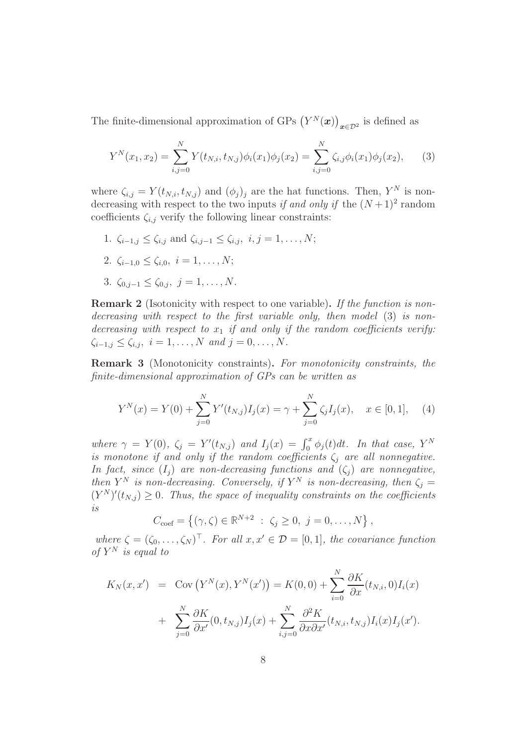The finite-dimensional approximation of GPs  $(Y^N(\boldsymbol{x}))_{\boldsymbol{x}\in\mathcal{D}^2}$  is defined as

$$
Y^{N}(x_{1}, x_{2}) = \sum_{i,j=0}^{N} Y(t_{N,i}, t_{N,j}) \phi_{i}(x_{1}) \phi_{j}(x_{2}) = \sum_{i,j=0}^{N} \zeta_{i,j} \phi_{i}(x_{1}) \phi_{j}(x_{2}), \qquad (3)
$$

where  $\zeta_{i,j} = Y(t_{N,i}, t_{N,j})$  and  $(\phi_j)_j$  are the hat functions. Then,  $Y^N$  is nondecreasing with respect to the two inputs if and only if the  $(N+1)^2$  random coefficients  $\zeta_{i,j}$  verify the following linear constraints:

- 1.  $\zeta_{i-1,j} \leq \zeta_{i,j}$  and  $\zeta_{i,j-1} \leq \zeta_{i,j}, i,j=1,\ldots,N;$ 2.  $\zeta_{i-1,0} \leq \zeta_{i,0}, i = 1, \ldots, N;$
- 3.  $\zeta_{0,j-1} \leq \zeta_{0,j}, \ j=1,\ldots,N.$

**Remark 2** (Isotonicity with respect to one variable). If the function is nondecreasing with respect to the first variable only, then model (3) is nondecreasing with respect to  $x_1$  if and only if the random coefficients verify:  $\zeta_{i-1,j} \leq \zeta_{i,j}, i = 1, ..., N \text{ and } j = 0, ..., N.$ 

Remark 3 (Monotonicity constraints). For monotonicity constraints, the finite-dimensional approximation of GPs can be written as

$$
Y^{N}(x) = Y(0) + \sum_{j=0}^{N} Y'(t_{N,j}) I_{j}(x) = \gamma + \sum_{j=0}^{N} \zeta_{j} I_{j}(x), \quad x \in [0, 1], \quad (4)
$$

where  $\gamma = Y(0)$ ,  $\zeta_j = Y'(t_{N,j})$  and  $I_j(x) = \int_0^x \phi_j(t) dt$ . In that case, Y<sup>N</sup> is monotone if and only if the random coefficients  $\zeta_i$  are all nonnegative. In fact, since  $(I_i)$  are non-decreasing functions and  $(\zeta_i)$  are nonnegative, then  $Y^N$  is non-decreasing. Conversely, if  $Y^N$  is non-decreasing, then  $\zeta_j =$  $(Y^N)'(t_{N,j}) \geq 0$ . Thus, the space of inequality constraints on the coefficients is

$$
C_{\text{coef}} = \{ (\gamma, \zeta) \in \mathbb{R}^{N+2} : \zeta_j \ge 0, j = 0, ..., N \},
$$

where  $\zeta = (\zeta_0, \ldots, \zeta_N)^\top$ . For all  $x, x' \in \mathcal{D} = [0, 1]$ , the covariance function of  $Y^N$  is equal to

$$
K_N(x, x') = \text{Cov}(Y^N(x), Y^N(x')) = K(0, 0) + \sum_{i=0}^N \frac{\partial K}{\partial x}(t_{N,i}, 0)I_i(x)
$$

$$
+ \sum_{j=0}^N \frac{\partial K}{\partial x'}(0, t_{N,j})I_j(x) + \sum_{i,j=0}^N \frac{\partial^2 K}{\partial x \partial x'}(t_{N,i}, t_{N,j})I_i(x)I_j(x').
$$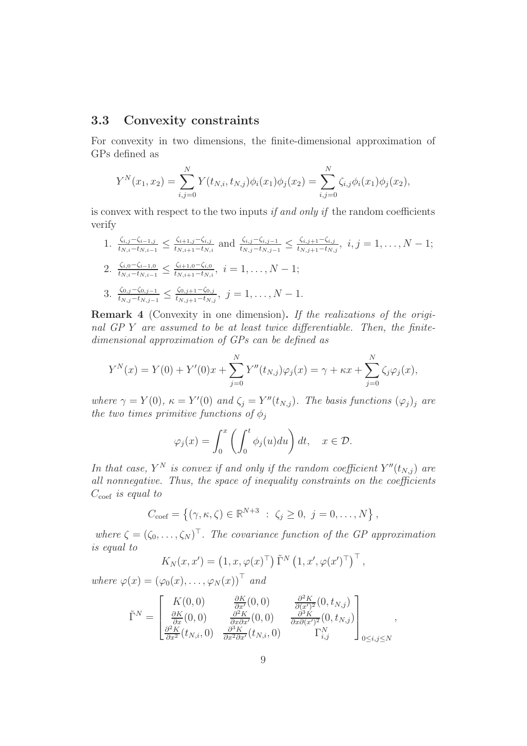### 3.3 Convexity constraints

For convexity in two dimensions, the finite-dimensional approximation of GPs defined as

$$
Y^{N}(x_{1}, x_{2}) = \sum_{i,j=0}^{N} Y(t_{N,i}, t_{N,j}) \phi_{i}(x_{1}) \phi_{j}(x_{2}) = \sum_{i,j=0}^{N} \zeta_{i,j} \phi_{i}(x_{1}) \phi_{j}(x_{2}),
$$

is convex with respect to the two inputs if and only if the random coefficients verify

1. 
$$
\frac{\zeta_{i,j}-\zeta_{i-1,j}}{t_{N,i}-t_{N,i-1}} \leq \frac{\zeta_{i+1,j}-\zeta_{i,j}}{t_{N,i+1}-t_{N,i}}
$$
 and  $\frac{\zeta_{i,j}-\zeta_{i,j-1}}{t_{N,j}-t_{N,j-1}} \leq \frac{\zeta_{i,j+1}-\zeta_{i,j}}{t_{N,j+1}-t_{N,j}}$ ,  $i, j = 1, ..., N-1$ ;  
\n2.  $\frac{\zeta_{i,0}-\zeta_{i-1,0}}{t_{N,i}-t_{N,i-1}} \leq \frac{\zeta_{i+1,0}-\zeta_{i,0}}{t_{N,i+1}-t_{N,i}}$ ,  $i = 1, ..., N-1$ ;  
\n3.  $\frac{\zeta_{0,j}-\zeta_{0,j-1}}{t_{N,j}-t_{N,j-1}} \leq \frac{\zeta_{0,j+1}-\zeta_{0,j}}{t_{N,j+1}-t_{N,j}}$ ,  $j = 1, ..., N-1$ .

Remark 4 (Convexity in one dimension). If the realizations of the original GP Y are assumed to be at least twice differentiable. Then, the finitedimensional approximation of GPs can be defined as

$$
Y^{N}(x) = Y(0) + Y'(0)x + \sum_{j=0}^{N} Y''(t_{N,j})\varphi_{j}(x) = \gamma + \kappa x + \sum_{j=0}^{N} \zeta_{j}\varphi_{j}(x),
$$

where  $\gamma = Y(0)$ ,  $\kappa = Y'(0)$  and  $\zeta_j = Y''(t_{N,j})$ . The basis functions  $(\varphi_j)_j$  are the two times primitive functions of  $\phi_i$ 

$$
\varphi_j(x) = \int_0^x \left( \int_0^t \phi_j(u) du \right) dt, \quad x \in \mathcal{D}.
$$

In that case,  $Y^N$  is convex if and only if the random coefficient  $Y''(t_{N,j})$  are all nonnegative. Thus, the space of inequality constraints on the coefficients  $C_{\text{coef}}$  is equal to

$$
C_{\text{coef}} = \{ (\gamma, \kappa, \zeta) \in \mathbb{R}^{N+3} : \zeta_j \ge 0, j = 0, ..., N \},
$$

where  $\zeta = (\zeta_0, \ldots, \zeta_N)^\top$ . The covariance function of the GP approximation is equal to

$$
K_N(x, x') = \left(1, x, \varphi(x)^\top\right) \tilde{\Gamma}^N \left(1, x', \varphi(x')^\top\right)^\top,
$$

where  $\varphi(x) = (\varphi_0(x), \ldots, \varphi_N(x))^\top$  and

$$
\tilde{\Gamma}^{N} = \begin{bmatrix} K(0,0) & \frac{\partial K}{\partial x}(0,0) & \frac{\partial^{2} K}{\partial (x')^{2}}(0,t_{N,j}) \\ \frac{\partial K}{\partial x}(0,0) & \frac{\partial^{2} K}{\partial x \partial x'}(0,0) & \frac{\partial^{3} K}{\partial x \partial (x')^{2}}(0,t_{N,j}) \\ \frac{\partial^{2} K}{\partial x^{2}}(t_{N,i},0) & \frac{\partial^{3} K}{\partial x^{2} \partial x'}(t_{N,i},0) & \Gamma_{i,j}^{N} \end{bmatrix}_{0 \leq i,j \leq N},
$$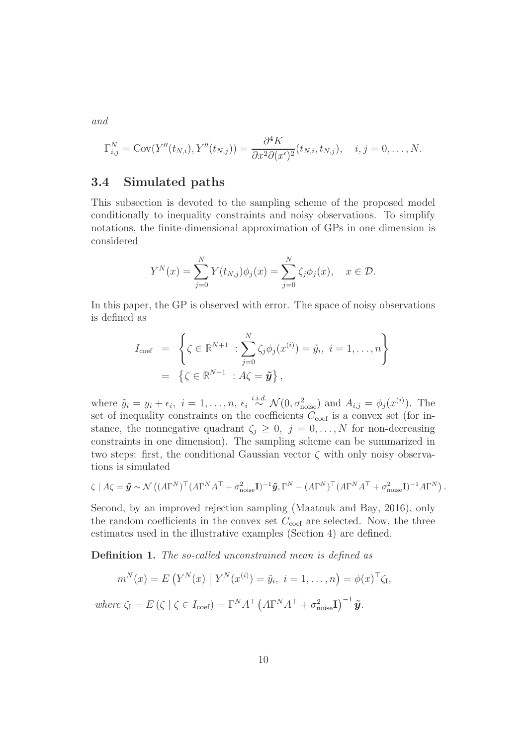and

$$
\Gamma_{i,j}^N = \text{Cov}(Y''(t_{N,i}), Y''(t_{N,j})) = \frac{\partial^4 K}{\partial x^2 \partial (x')^2}(t_{N,i}, t_{N,j}), \quad i, j = 0, \dots, N.
$$

### 3.4 Simulated paths

This subsection is devoted to the sampling scheme of the proposed model conditionally to inequality constraints and noisy observations. To simplify notations, the finite-dimensional approximation of GPs in one dimension is considered

$$
Y^{N}(x) = \sum_{j=0}^{N} Y(t_{N,j})\phi_{j}(x) = \sum_{j=0}^{N} \zeta_{j}\phi_{j}(x), \quad x \in \mathcal{D}.
$$

In this paper, the GP is observed with error. The space of noisy observations is defined as

$$
I_{\text{coef}} = \left\{ \zeta \in \mathbb{R}^{N+1} : \sum_{j=0}^{N} \zeta_j \phi_j(x^{(i)}) = \tilde{y}_i, \ i = 1, \dots, n \right\}
$$
  
=  $\left\{ \zeta \in \mathbb{R}^{N+1} : A \zeta = \tilde{\mathbf{y}} \right\},$ 

where  $\tilde{y}_i = y_i + \epsilon_i$ ,  $i = 1, \ldots, n$ ,  $\epsilon_i \stackrel{i.i.d.}{\sim} \mathcal{N}(0, \sigma_{\text{noise}}^2)$  and  $A_{i,j} = \phi_j(x^{(i)})$ . The set of inequality constraints on the coefficients  $C_{\text{coef}}$  is a convex set (for instance, the nonnegative quadrant  $\zeta_j \geq 0$ ,  $j = 0, \ldots, N$  for non-decreasing constraints in one dimension). The sampling scheme can be summarized in two steps: first, the conditional Gaussian vector  $\zeta$  with only noisy observations is simulated

$$
\zeta \mid A\zeta = \tilde{\mathbf{y}} \sim \mathcal{N}\left( (A\Gamma^{N})^{\top} (A\Gamma^{N} A^{\top} + \sigma_{\text{noise}}^{2} \mathbf{I})^{-1} \tilde{\mathbf{y}}, \Gamma^{N} - (A\Gamma^{N})^{\top} (A\Gamma^{N} A^{\top} + \sigma_{\text{noise}}^{2} \mathbf{I})^{-1} A\Gamma^{N} \right).
$$

Second, by an improved rejection sampling (Maatouk and Bay, 2016), only the random coefficients in the convex set  $C_{\text{coef}}$  are selected. Now, the three estimates used in the illustrative examples (Section 4) are defined.

Definition 1. The so-called unconstrained mean is defined as

$$
m^{N}(x) = E(Y^{N}(x) | Y^{N}(x^{(i)}) = \tilde{y}_{i}, i = 1,..., n) = \phi(x)^{\top} \zeta_{I},
$$

where  $\zeta_{I} = E(\zeta \mid \zeta \in I_{\text{coef}}) = \Gamma^{N} A^{\top} (A \Gamma^{N} A^{\top} + \sigma_{\text{noise}}^{2} \mathbf{I})^{-1} \tilde{\mathbf{y}}.$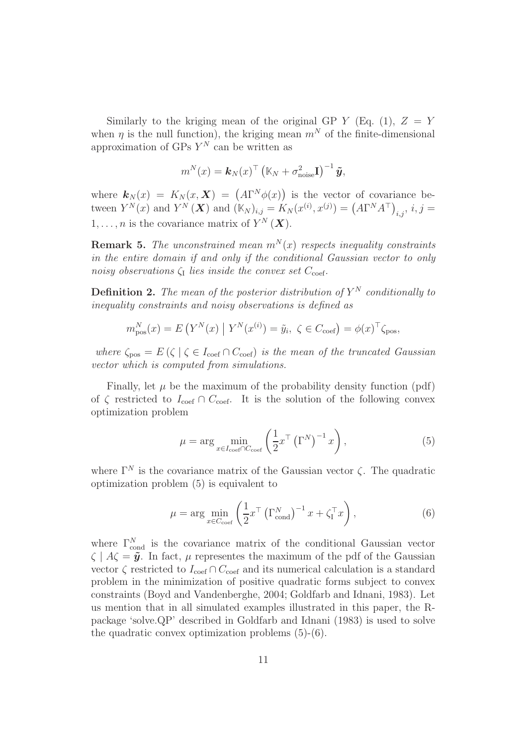Similarly to the kriging mean of the original GP  $Y$  (Eq. (1),  $Z = Y$ when  $\eta$  is the null function), the kriging mean  $m^N$  of the finite-dimensional approximation of GPs  $Y^N$  can be written as

$$
m^{N}(x) = \boldsymbol{k}_{N}(x)^{\top} (\mathbb{K}_{N} + \sigma_{\text{noise}}^{2} \mathbf{I})^{-1} \tilde{\boldsymbol{y}},
$$

where  $\mathbf{k}_N(x) = K_N(x, \mathbf{X}) = (A\Gamma^N\phi(x))$  is the vector of covariance between  $Y^{N}(x)$  and  $Y^{N}(\bm{X})$  and  $(\mathbb{K}_{N})_{i,j} = K_{N}(x^{(i)}, x^{(j)}) = (A\Gamma^{N}A^{\top})_{i,j}, i, j =$  $1, \ldots, n$  is the covariance matrix of  $Y^N(\boldsymbol{X})$ .

**Remark 5.** The unconstrained mean  $m^N(x)$  respects inequality constraints in the entire domain if and only if the conditional Gaussian vector to only noisy observations  $\zeta_I$  lies inside the convex set  $C_{\text{coef}}$ .

**Definition 2.** The mean of the posterior distribution of  $Y^N$  conditionally to inequality constraints and noisy observations is defined as

$$
m_{\text{pos}}^N(x) = E\left(Y^N(x) \mid Y^N(x^{(i)}) = \tilde{y}_i, \ \zeta \in C_{\text{coeff}}\right) = \phi(x)^\top \zeta_{\text{pos}},
$$

where  $\zeta_{\text{pos}} = E(\zeta \mid \zeta \in I_{\text{coef}} \cap C_{\text{coef}})$  is the mean of the truncated Gaussian vector which is computed from simulations.

Finally, let  $\mu$  be the maximum of the probability density function (pdf) of  $\zeta$  restricted to  $I_{\text{coef}} \cap C_{\text{coef}}$ . It is the solution of the following convex optimization problem

$$
\mu = \arg \min_{x \in I_{\text{coef}} \cap C_{\text{coef}}} \left( \frac{1}{2} x^\top \left( \Gamma^N \right)^{-1} x \right), \tag{5}
$$

where  $\Gamma^{N}$  is the covariance matrix of the Gaussian vector  $\zeta$ . The quadratic optimization problem (5) is equivalent to

$$
\mu = \arg \min_{x \in C_{\text{coef}}} \left( \frac{1}{2} x^\top \left( \Gamma_{\text{cond}}^N \right)^{-1} x + \zeta_I^\top x \right), \tag{6}
$$

where  $\Gamma_{\text{cond}}^{N}$  is the covariance matrix of the conditional Gaussian vector  $\zeta \mid A\zeta = \tilde{\mathbf{y}}$ . In fact,  $\mu$  representes the maximum of the pdf of the Gaussian vector  $\zeta$  restricted to  $I_{\text{coef}} \cap C_{\text{coef}}$  and its numerical calculation is a standard problem in the minimization of positive quadratic forms subject to convex constraints (Boyd and Vandenberghe, 2004; Goldfarb and Idnani, 1983). Let us mention that in all simulated examples illustrated in this paper, the Rpackage 'solve.QP' described in Goldfarb and Idnani (1983) is used to solve the quadratic convex optimization problems (5)-(6).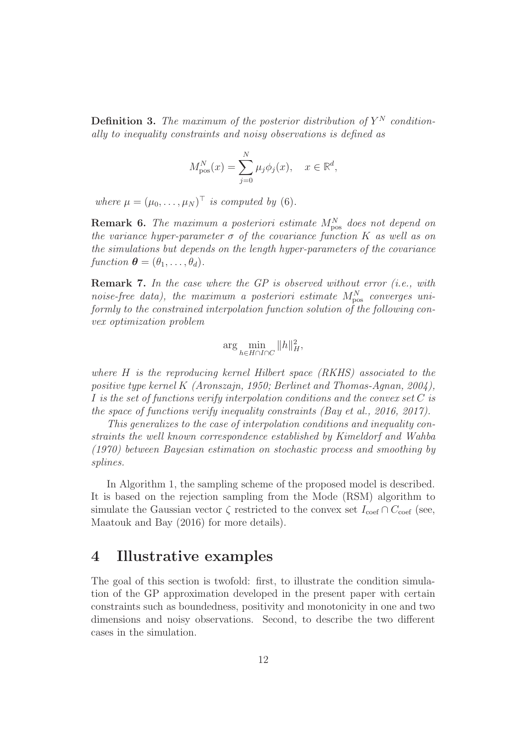**Definition 3.** The maximum of the posterior distribution of  $Y^N$  conditionally to inequality constraints and noisy observations is defined as

$$
M_{\text{pos}}^N(x) = \sum_{j=0}^N \mu_j \phi_j(x), \quad x \in \mathbb{R}^d,
$$

where  $\mu = (\mu_0, \dots, \mu_N)^\top$  is computed by (6).

**Remark 6.** The maximum a posteriori estimate  $M_{\text{pos}}^{N}$  does not depend on the variance hyper-parameter  $\sigma$  of the covariance function K as well as on the simulations but depends on the length hyper-parameters of the covariance function  $\boldsymbol{\theta} = (\theta_1, \ldots, \theta_d)$ .

**Remark 7.** In the case where the GP is observed without error (i.e., with noise-free data), the maximum a posteriori estimate  $M_{\rm pos}^N$  converges uniformly to the constrained interpolation function solution of the following convex optimization problem

$$
\arg\min_{h\in H\cap I\cap C} \|h\|_H^2,
$$

where H is the reproducing kernel Hilbert space (RKHS) associated to the positive type kernel K (Aronszajn, 1950; Berlinet and Thomas-Agnan, 2004), I is the set of functions verify interpolation conditions and the convex set C is the space of functions verify inequality constraints (Bay et al., 2016, 2017).

This generalizes to the case of interpolation conditions and inequality constraints the well known correspondence established by Kimeldorf and Wahba (1970) between Bayesian estimation on stochastic process and smoothing by splines.

In Algorithm 1, the sampling scheme of the proposed model is described. It is based on the rejection sampling from the Mode (RSM) algorithm to simulate the Gaussian vector  $\zeta$  restricted to the convex set  $I_{\text{coef}} \cap C_{\text{coef}}$  (see, Maatouk and Bay (2016) for more details).

### 4 Illustrative examples

The goal of this section is twofold: first, to illustrate the condition simulation of the GP approximation developed in the present paper with certain constraints such as boundedness, positivity and monotonicity in one and two dimensions and noisy observations. Second, to describe the two different cases in the simulation.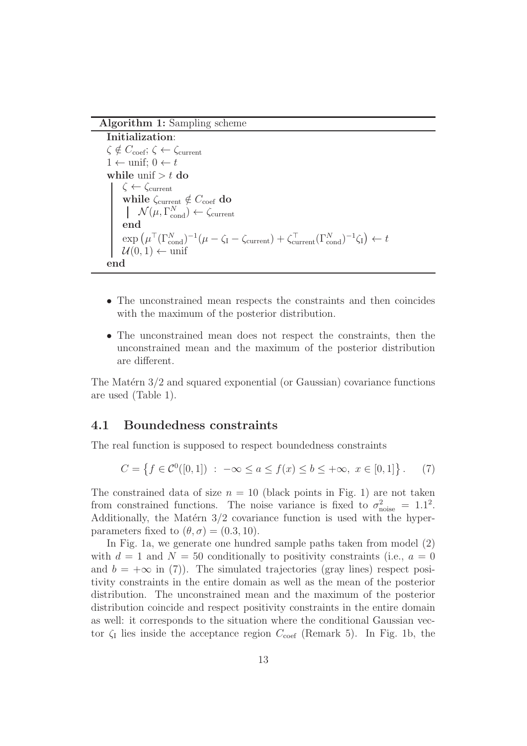Algorithm 1: Sampling scheme

Initialization:  $\zeta \notin C_{\text{coef}}$ ;  $\zeta \leftarrow \zeta_{\text{current}}$  $1 \leftarrow \text{unif: } 0 \leftarrow t$ while unif  $>t$  do  $\zeta \leftarrow \zeta_{\text{current}}$ while  $\zeta_{\text{current}} \notin C_{\text{coef}}$  do  $\mathcal{N}(\mu, \Gamma_{\rm cond}^N) \leftarrow \zeta_{\rm current}$ end  $\exp \left( \mu^{T} (\Gamma_{\text{cond}}^{N})^{-1} (\mu - \zeta_{\text{I}} - \zeta_{\text{current}}) + \zeta_{\text{current}}^{T} (\Gamma_{\text{cond}}^{N})^{-1} \zeta_{\text{I}} \right) \leftarrow t$  $\mathcal{U}(0,1) \leftarrow \text{unif}$ end

- The unconstrained mean respects the constraints and then coincides with the maximum of the posterior distribution.
- The unconstrained mean does not respect the constraints, then the unconstrained mean and the maximum of the posterior distribution are different.

The Matérn  $3/2$  and squared exponential (or Gaussian) covariance functions are used (Table 1).

### 4.1 Boundedness constraints

The real function is supposed to respect boundedness constraints

$$
C = \left\{ f \in \mathcal{C}^0([0,1]) \; : \; -\infty \le a \le f(x) \le b \le +\infty, \; x \in [0,1] \right\}. \tag{7}
$$

The constrained data of size  $n = 10$  (black points in Fig. 1) are not taken from constrained functions. The noise variance is fixed to  $\sigma_{\text{noise}}^2 = 1.1^2$ . Additionally, the Matérn  $3/2$  covariance function is used with the hyperparameters fixed to  $(\theta, \sigma) = (0.3, 10)$ .

In Fig. 1a, we generate one hundred sample paths taken from model (2) with  $d = 1$  and  $N = 50$  conditionally to positivity constraints (i.e.,  $a = 0$ ) and  $b = +\infty$  in (7)). The simulated trajectories (gray lines) respect positivity constraints in the entire domain as well as the mean of the posterior distribution. The unconstrained mean and the maximum of the posterior distribution coincide and respect positivity constraints in the entire domain as well: it corresponds to the situation where the conditional Gaussian vector  $\zeta_I$  lies inside the acceptance region  $C_{\text{coef}}$  (Remark 5). In Fig. 1b, the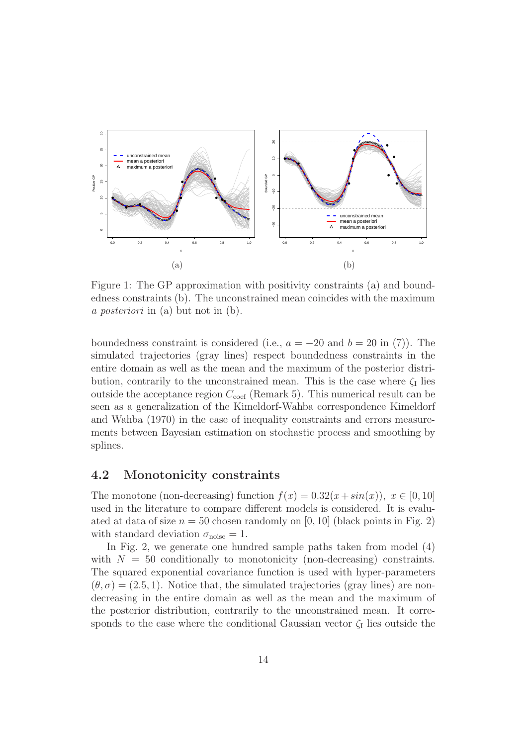

Figure 1: The GP approximation with positivity constraints (a) and boundedness constraints (b). The unconstrained mean coincides with the maximum a posteriori in (a) but not in (b).

boundedness constraint is considered (i.e.,  $a = -20$  and  $b = 20$  in (7)). The simulated trajectories (gray lines) respect boundedness constraints in the entire domain as well as the mean and the maximum of the posterior distribution, contrarily to the unconstrained mean. This is the case where  $\zeta_I$  lies outside the acceptance region  $C_{\text{coef}}$  (Remark 5). This numerical result can be seen as a generalization of the Kimeldorf-Wahba correspondence Kimeldorf and Wahba (1970) in the case of inequality constraints and errors measurements between Bayesian estimation on stochastic process and smoothing by splines.

### 4.2 Monotonicity constraints

The monotone (non-decreasing) function  $f(x) = 0.32(x + sin(x))$ ,  $x \in [0, 10]$ used in the literature to compare different models is considered. It is evaluated at data of size  $n = 50$  chosen randomly on [0, 10] (black points in Fig. 2) with standard deviation  $\sigma_{\text{noise}} = 1$ .

In Fig. 2, we generate one hundred sample paths taken from model (4) with  $N = 50$  conditionally to monotonicity (non-decreasing) constraints. The squared exponential covariance function is used with hyper-parameters  $(\theta, \sigma) = (2.5, 1)$ . Notice that, the simulated trajectories (gray lines) are nondecreasing in the entire domain as well as the mean and the maximum of the posterior distribution, contrarily to the unconstrained mean. It corresponds to the case where the conditional Gaussian vector  $\zeta_I$  lies outside the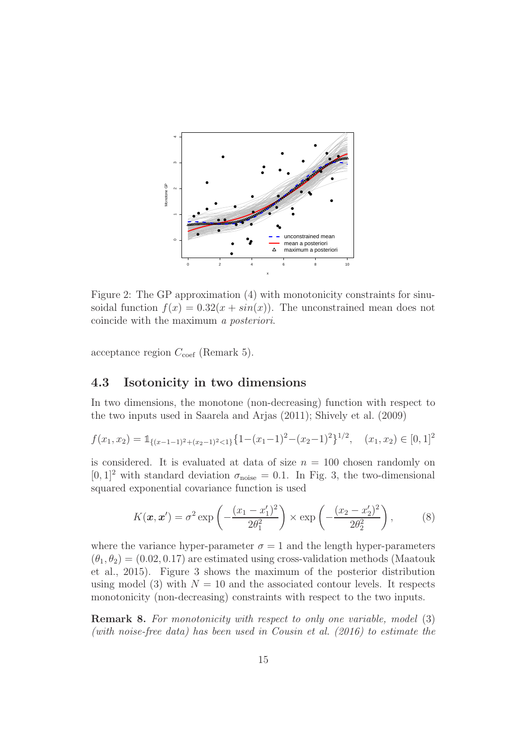

Figure 2: The GP approximation (4) with monotonicity constraints for sinusoidal function  $f(x) = 0.32(x + sin(x))$ . The unconstrained mean does not coincide with the maximum a posteriori.

acceptance region  $C_{\text{coef}}$  (Remark 5).

### 4.3 Isotonicity in two dimensions

In two dimensions, the monotone (non-decreasing) function with respect to the two inputs used in Saarela and Arjas (2011); Shively et al. (2009)

$$
f(x_1, x_2) = \mathbb{1}_{\{(x-1-1)^2 + (x_2-1)^2 < 1\}} \{1 - (x_1-1)^2 - (x_2-1)^2\}^{1/2}, \quad (x_1, x_2) \in [0, 1]^2
$$

is considered. It is evaluated at data of size  $n = 100$  chosen randomly on  $[0, 1]^2$  with standard deviation  $\sigma_{\text{noise}} = 0.1$ . In Fig. 3, the two-dimensional squared exponential covariance function is used

$$
K(\mathbf{x}, \mathbf{x}') = \sigma^2 \exp\left(-\frac{(x_1 - x'_1)^2}{2\theta_1^2}\right) \times \exp\left(-\frac{(x_2 - x'_2)^2}{2\theta_2^2}\right),\tag{8}
$$

where the variance hyper-parameter  $\sigma = 1$  and the length hyper-parameters  $(\theta_1, \theta_2) = (0.02, 0.17)$  are estimated using cross-validation methods (Maatouk et al., 2015). Figure 3 shows the maximum of the posterior distribution using model (3) with  $N = 10$  and the associated contour levels. It respects monotonicity (non-decreasing) constraints with respect to the two inputs.

Remark 8. For monotonicity with respect to only one variable, model (3) (with noise-free data) has been used in Cousin et al. (2016) to estimate the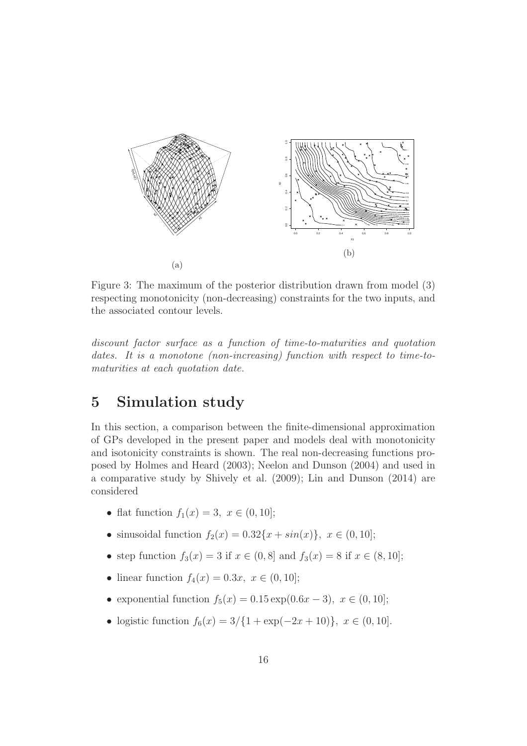

Figure 3: The maximum of the posterior distribution drawn from model (3) respecting monotonicity (non-decreasing) constraints for the two inputs, and the associated contour levels.

discount factor surface as a function of time-to-maturities and quotation dates. It is a monotone (non-increasing) function with respect to time-tomaturities at each quotation date.

# 5 Simulation study

In this section, a comparison between the finite-dimensional approximation of GPs developed in the present paper and models deal with monotonicity and isotonicity constraints is shown. The real non-decreasing functions proposed by Holmes and Heard (2003); Neelon and Dunson (2004) and used in a comparative study by Shively et al. (2009); Lin and Dunson (2014) are considered

- flat function  $f_1(x) = 3, x \in (0, 10]$ ;
- sinusoidal function  $f_2(x) = 0.32\{x + \sin(x)\}\,$ ,  $x \in (0, 10]$ ;
- step function  $f_3(x) = 3$  if  $x \in (0, 8]$  and  $f_3(x) = 8$  if  $x \in (8, 10]$ ;
- linear function  $f_4(x) = 0.3x, x \in (0, 10];$
- exponential function  $f_5(x) = 0.15 \exp(0.6x 3), x \in (0, 10];$
- logistic function  $f_6(x) = 3/{1 + \exp(-2x + 10)}$ ,  $x \in (0, 10]$ .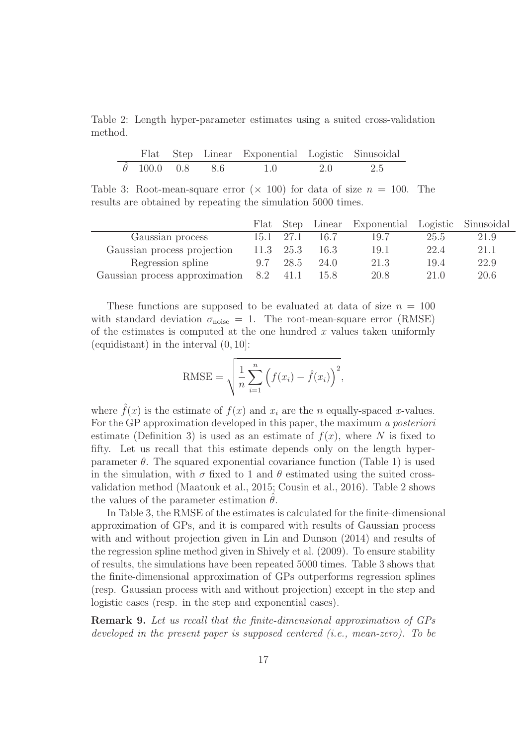Table 2: Length hyper-parameter estimates using a suited cross-validation method.

|                        |  | Flat Step Linear Exponential Logistic Sinusoidal |     |     |
|------------------------|--|--------------------------------------------------|-----|-----|
| $\theta$ 100.0 0.8 8.6 |  | 1.0                                              | 2.0 | 2.5 |

Table 3: Root-mean-square error  $(\times 100)$  for data of size  $n = 100$ . The results are obtained by repeating the simulation 5000 times.

|                                |      |           |      | Flat Step Linear Exponential Logistic Sinusoidal |      |      |
|--------------------------------|------|-----------|------|--------------------------------------------------|------|------|
| Gaussian process               | 15.1 | 27.1      | 16.7 | 19.7                                             | 25.5 | 21.9 |
| Gaussian process projection    |      | 11.3 25.3 | 16.3 | 19.1                                             | 22.4 | 21.1 |
| Regression spline              | 9.7  | 28.5      | 24.0 | 21.3                                             | 19.4 | 22.9 |
| Gaussian process approximation | 8.2  | 41.1      | 15.8 | 20.8                                             | 21.0 | 20.6 |

These functions are supposed to be evaluated at data of size  $n = 100$ with standard deviation  $\sigma_{\text{noise}} = 1$ . The root-mean-square error (RMSE) of the estimates is computed at the one hundred  $x$  values taken uniformly (equidistant) in the interval (0, 10]:

RMSE = 
$$
\sqrt{\frac{1}{n} \sum_{i=1}^{n} (f(x_i) - \hat{f}(x_i))^{2}},
$$

where  $\hat{f}(x)$  is the estimate of  $f(x)$  and  $x_i$  are the n equally-spaced x-values. For the GP approximation developed in this paper, the maximum a posteriori estimate (Definition 3) is used as an estimate of  $f(x)$ , where N is fixed to fifty. Let us recall that this estimate depends only on the length hyperparameter  $\theta$ . The squared exponential covariance function (Table 1) is used in the simulation, with  $\sigma$  fixed to 1 and  $\theta$  estimated using the suited crossvalidation method (Maatouk et al., 2015; Cousin et al., 2016). Table 2 shows the values of the parameter estimation  $\theta$ .

In Table 3, the RMSE of the estimates is calculated for the finite-dimensional approximation of GPs, and it is compared with results of Gaussian process with and without projection given in Lin and Dunson (2014) and results of the regression spline method given in Shively et al. (2009). To ensure stability of results, the simulations have been repeated 5000 times. Table 3 shows that the finite-dimensional approximation of GPs outperforms regression splines (resp. Gaussian process with and without projection) except in the step and logistic cases (resp. in the step and exponential cases).

Remark 9. Let us recall that the finite-dimensional approximation of GPs developed in the present paper is supposed centered (i.e., mean-zero). To be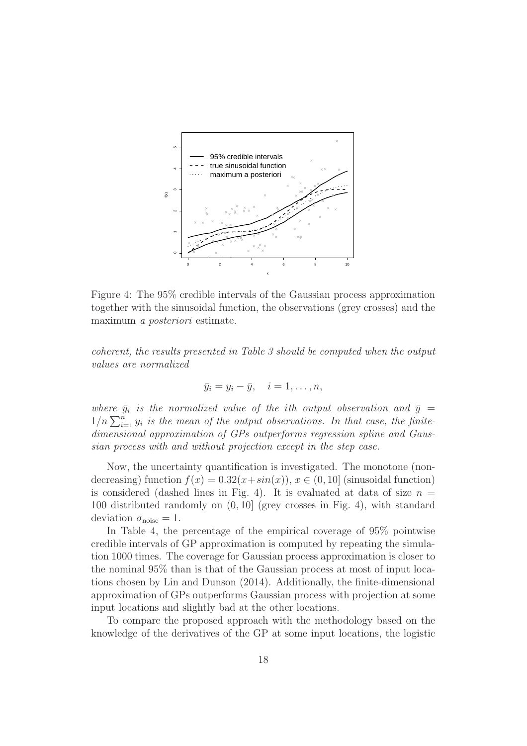

Figure 4: The 95% credible intervals of the Gaussian process approximation together with the sinusoidal function, the observations (grey crosses) and the maximum a posteriori estimate.

coherent, the results presented in Table 3 should be computed when the output values are normalized

$$
\bar{y}_i = y_i - \bar{y}, \quad i = 1, \dots, n,
$$

where  $\bar{y}_i$  is the normalized value of the ith output observation and  $\bar{y}$  =  $1/n \sum_{i=1}^{n} y_i$  is the mean of the output observations. In that case, the finitedimensional approximation of GPs outperforms regression spline and Gaussian process with and without projection except in the step case.

Now, the uncertainty quantification is investigated. The monotone (nondecreasing) function  $f(x) = 0.32(x + sin(x))$ ,  $x \in (0, 10]$  (sinusoidal function) is considered (dashed lines in Fig. 4). It is evaluated at data of size  $n =$ 100 distributed randomly on (0, 10] (grey crosses in Fig. 4), with standard deviation  $\sigma_{\text{noise}} = 1$ .

In Table 4, the percentage of the empirical coverage of 95% pointwise credible intervals of GP approximation is computed by repeating the simulation 1000 times. The coverage for Gaussian process approximation is closer to the nominal 95% than is that of the Gaussian process at most of input locations chosen by Lin and Dunson (2014). Additionally, the finite-dimensional approximation of GPs outperforms Gaussian process with projection at some input locations and slightly bad at the other locations.

To compare the proposed approach with the methodology based on the knowledge of the derivatives of the GP at some input locations, the logistic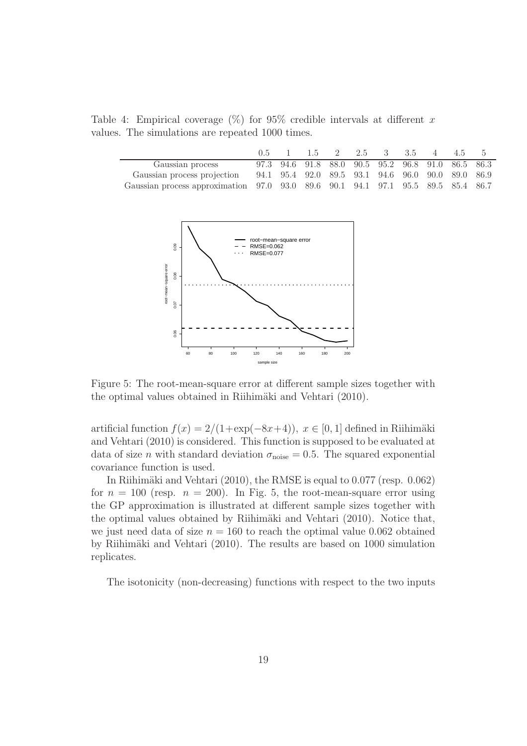Table 4: Empirical coverage  $(\%)$  for 95% credible intervals at different x values. The simulations are repeated 1000 times.

|                                                                                  |  |  | $0.5 \quad 1 \quad 1.5 \quad 2 \quad 2.5 \quad 3 \quad 3.5 \quad 4 \quad 4.5$ |  | - 5                                               |
|----------------------------------------------------------------------------------|--|--|-------------------------------------------------------------------------------|--|---------------------------------------------------|
| Gaussian process                                                                 |  |  |                                                                               |  | 97.3 94.6 91.8 88.0 90.5 95.2 96.8 91.0 86.5 86.3 |
| Gaussian process projection 94.1 95.4 92.0 89.5 93.1 94.6 96.0 90.0 89.0 86.9    |  |  |                                                                               |  |                                                   |
| Gaussian process approximation 97.0 93.0 89.6 90.1 94.1 97.1 95.5 89.5 85.4 86.7 |  |  |                                                                               |  |                                                   |



Figure 5: The root-mean-square error at different sample sizes together with the optimal values obtained in Riihimäki and Vehtari (2010).

artificial function  $f(x) = 2/(1+\exp(-8x+4))$ ,  $x \in [0, 1]$  defined in Riihimäki and Vehtari (2010) is considered. This function is supposed to be evaluated at data of size *n* with standard deviation  $\sigma_{\text{noise}} = 0.5$ . The squared exponential covariance function is used.

In Riihimäki and Vehtari (2010), the RMSE is equal to  $0.077$  (resp.  $0.062$ ) for  $n = 100$  (resp.  $n = 200$ ). In Fig. 5, the root-mean-square error using the GP approximation is illustrated at different sample sizes together with the optimal values obtained by Riihimäki and Vehtari (2010). Notice that, we just need data of size  $n = 160$  to reach the optimal value 0.062 obtained by Riihimäki and Vehtari (2010). The results are based on 1000 simulation replicates.

The isotonicity (non-decreasing) functions with respect to the two inputs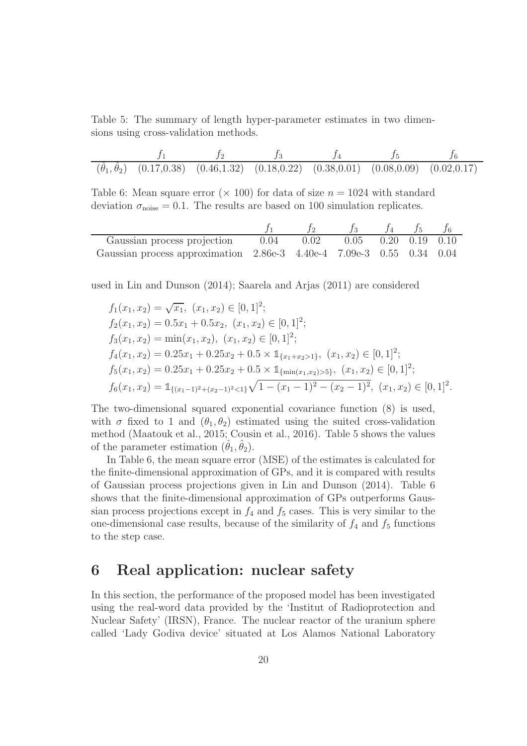Table 5: The summary of length hyper-parameter estimates in two dimensions using cross-validation methods.

$$
\frac{f_1}{(\hat{\theta}_1, \hat{\theta}_2) \quad (0.17, 0.38) \quad (0.46, 1.32) \quad (0.18, 0.22) \quad (0.38, 0.01) \quad (0.08, 0.09) \quad (0.02, 0.17)}
$$

Table 6: Mean square error ( $\times$  100) for data of size  $n = 1024$  with standard deviation  $\sigma_{\text{noise}} = 0.1$ . The results are based on 100 simulation replicates.

|                                                                                   |  |                             | $f_4$ $f_5$ |  |
|-----------------------------------------------------------------------------------|--|-----------------------------|-------------|--|
| Gaussian process projection 0.04 0.02                                             |  | $0.05$ $0.20$ $0.19$ $0.10$ |             |  |
| Gaussian process approximation $2.86e-3$ $4.40e-4$ $7.09e-3$ $0.55$ $0.34$ $0.04$ |  |                             |             |  |

used in Lin and Dunson (2014); Saarela and Arjas (2011) are considered

$$
f_1(x_1, x_2) = \sqrt{x_1}, (x_1, x_2) \in [0, 1]^2;
$$
  
\n
$$
f_2(x_1, x_2) = 0.5x_1 + 0.5x_2, (x_1, x_2) \in [0, 1]^2;
$$
  
\n
$$
f_3(x_1, x_2) = \min(x_1, x_2), (x_1, x_2) \in [0, 1]^2;
$$
  
\n
$$
f_4(x_1, x_2) = 0.25x_1 + 0.25x_2 + 0.5 \times \mathbb{1}_{\{x_1 + x_2 > 1\}}, (x_1, x_2) \in [0, 1]^2;
$$
  
\n
$$
f_5(x_1, x_2) = 0.25x_1 + 0.25x_2 + 0.5 \times \mathbb{1}_{\{\min(x_1, x_2) > 5\}}, (x_1, x_2) \in [0, 1]^2;
$$
  
\n
$$
f_6(x_1, x_2) = \mathbb{1}_{\{(x_1 - 1)^2 + (x_2 - 1)^2 < 1\}} \sqrt{1 - (x_1 - 1)^2 - (x_2 - 1)^2}, (x_1, x_2) \in [0, 1]^2.
$$

The two-dimensional squared exponential covariance function (8) is used, with  $\sigma$  fixed to 1 and  $(\theta_1, \theta_2)$  estimated using the suited cross-validation method (Maatouk et al., 2015; Cousin et al., 2016). Table 5 shows the values of the parameter estimation  $(\hat{\theta}_1, \hat{\theta}_2)$ .

In Table 6, the mean square error (MSE) of the estimates is calculated for the finite-dimensional approximation of GPs, and it is compared with results of Gaussian process projections given in Lin and Dunson (2014). Table 6 shows that the finite-dimensional approximation of GPs outperforms Gaussian process projections except in  $f_4$  and  $f_5$  cases. This is very similar to the one-dimensional case results, because of the similarity of  $f_4$  and  $f_5$  functions to the step case.

# 6 Real application: nuclear safety

In this section, the performance of the proposed model has been investigated using the real-word data provided by the 'Institut of Radioprotection and Nuclear Safety' (IRSN), France. The nuclear reactor of the uranium sphere called 'Lady Godiva device' situated at Los Alamos National Laboratory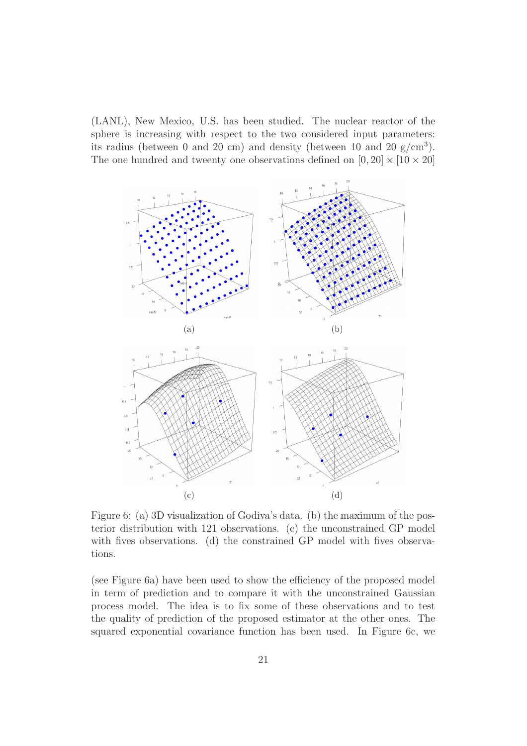(LANL), New Mexico, U.S. has been studied. The nuclear reactor of the sphere is increasing with respect to the two considered input parameters: its radius (between 0 and 20 cm) and density (between 10 and 20  $g/cm<sup>3</sup>$ ). The one hundred and tweenty one observations defined on  $[0, 20] \times [10 \times 20]$ 



Figure 6: (a) 3D visualization of Godiva's data. (b) the maximum of the posterior distribution with 121 observations. (c) the unconstrained GP model with fives observations. (d) the constrained GP model with fives observations.

(see Figure 6a) have been used to show the efficiency of the proposed model in term of prediction and to compare it with the unconstrained Gaussian process model. The idea is to fix some of these observations and to test the quality of prediction of the proposed estimator at the other ones. The squared exponential covariance function has been used. In Figure 6c, we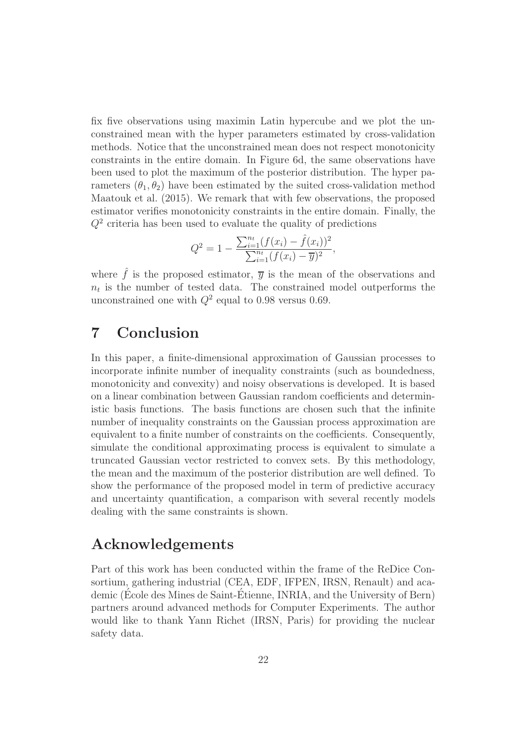fix five observations using maximin Latin hypercube and we plot the unconstrained mean with the hyper parameters estimated by cross-validation methods. Notice that the unconstrained mean does not respect monotonicity constraints in the entire domain. In Figure 6d, the same observations have been used to plot the maximum of the posterior distribution. The hyper parameters  $(\theta_1, \theta_2)$  have been estimated by the suited cross-validation method Maatouk et al. (2015). We remark that with few observations, the proposed estimator verifies monotonicity constraints in the entire domain. Finally, the  $Q<sup>2</sup>$  criteria has been used to evaluate the quality of predictions

$$
Q^{2} = 1 - \frac{\sum_{i=1}^{n_t} (f(x_i) - \hat{f}(x_i))^{2}}{\sum_{i=1}^{n_t} (f(x_i) - \overline{y})^{2}},
$$

where  $\hat{f}$  is the proposed estimator,  $\overline{y}$  is the mean of the observations and  $n_t$  is the number of tested data. The constrained model outperforms the unconstrained one with  $Q^2$  equal to 0.98 versus 0.69.

# 7 Conclusion

In this paper, a finite-dimensional approximation of Gaussian processes to incorporate infinite number of inequality constraints (such as boundedness, monotonicity and convexity) and noisy observations is developed. It is based on a linear combination between Gaussian random coefficients and deterministic basis functions. The basis functions are chosen such that the infinite number of inequality constraints on the Gaussian process approximation are equivalent to a finite number of constraints on the coefficients. Consequently, simulate the conditional approximating process is equivalent to simulate a truncated Gaussian vector restricted to convex sets. By this methodology, the mean and the maximum of the posterior distribution are well defined. To show the performance of the proposed model in term of predictive accuracy and uncertainty quantification, a comparison with several recently models dealing with the same constraints is shown.

# Acknowledgements

Part of this work has been conducted within the frame of the ReDice Consortium, gathering industrial (CEA, EDF, IFPEN, IRSN, Renault) and academic (Ecole des Mines de Saint-Étienne, INRIA, and the University of Bern) partners around advanced methods for Computer Experiments. The author would like to thank Yann Richet (IRSN, Paris) for providing the nuclear safety data.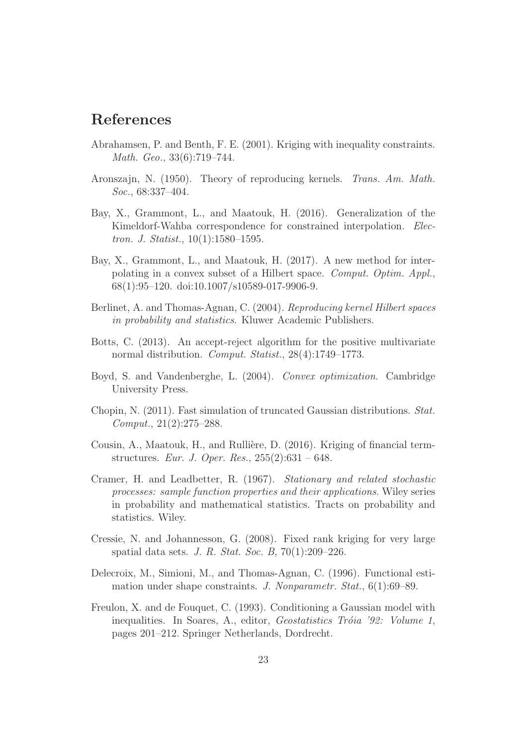# References

- Abrahamsen, P. and Benth, F. E. (2001). Kriging with inequality constraints. Math. Geo., 33(6):719–744.
- Aronszajn, N. (1950). Theory of reproducing kernels. Trans. Am. Math. Soc., 68:337–404.
- Bay, X., Grammont, L., and Maatouk, H. (2016). Generalization of the Kimeldorf-Wahba correspondence for constrained interpolation. *Elec*tron. J. Statist., 10(1):1580–1595.
- Bay, X., Grammont, L., and Maatouk, H. (2017). A new method for interpolating in a convex subset of a Hilbert space. Comput. Optim. Appl., 68(1):95–120. doi:10.1007/s10589-017-9906-9.
- Berlinet, A. and Thomas-Agnan, C. (2004). Reproducing kernel Hilbert spaces in probability and statistics. Kluwer Academic Publishers.
- Botts, C. (2013). An accept-reject algorithm for the positive multivariate normal distribution. Comput. Statist., 28(4):1749–1773.
- Boyd, S. and Vandenberghe, L. (2004). Convex optimization. Cambridge University Press.
- Chopin, N. (2011). Fast simulation of truncated Gaussian distributions. Stat. Comput., 21(2):275–288.
- Cousin, A., Maatouk, H., and Rullière, D. (2016). Kriging of financial termstructures. Eur. J. Oper. Res., 255(2):631 – 648.
- Cramer, H. and Leadbetter, R. (1967). Stationary and related stochastic processes: sample function properties and their applications. Wiley series in probability and mathematical statistics. Tracts on probability and statistics. Wiley.
- Cressie, N. and Johannesson, G. (2008). Fixed rank kriging for very large spatial data sets. J. R. Stat. Soc. B, 70(1):209–226.
- Delecroix, M., Simioni, M., and Thomas-Agnan, C. (1996). Functional estimation under shape constraints. J. Nonparametr. Stat., 6(1):69–89.
- Freulon, X. and de Fouquet, C. (1993). Conditioning a Gaussian model with inequalities. In Soares, A., editor, Geostatistics Tróia '92: Volume 1, pages 201–212. Springer Netherlands, Dordrecht.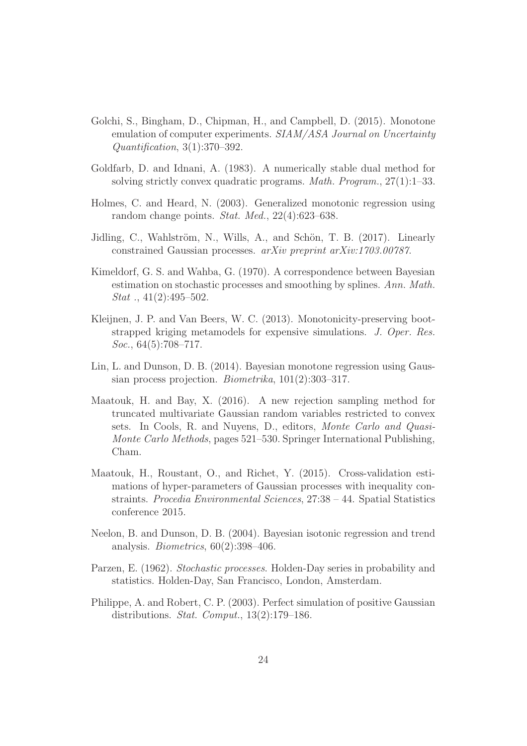- Golchi, S., Bingham, D., Chipman, H., and Campbell, D. (2015). Monotone emulation of computer experiments. SIAM/ASA Journal on Uncertainty Quantification, 3(1):370–392.
- Goldfarb, D. and Idnani, A. (1983). A numerically stable dual method for solving strictly convex quadratic programs. *Math. Program.*,  $27(1):1-33$ .
- Holmes, C. and Heard, N. (2003). Generalized monotonic regression using random change points. Stat. Med., 22(4):623–638.
- Jidling, C., Wahlström, N., Wills, A., and Schön, T. B. (2017). Linearly constrained Gaussian processes. arXiv preprint arXiv:1703.00787.
- Kimeldorf, G. S. and Wahba, G. (1970). A correspondence between Bayesian estimation on stochastic processes and smoothing by splines. Ann. Math. *Stat*  $\ldots$  41(2):495–502.
- Kleijnen, J. P. and Van Beers, W. C. (2013). Monotonicity-preserving bootstrapped kriging metamodels for expensive simulations. J. Oper. Res. Soc., 64(5):708–717.
- Lin, L. and Dunson, D. B. (2014). Bayesian monotone regression using Gaussian process projection. Biometrika, 101(2):303–317.
- Maatouk, H. and Bay, X. (2016). A new rejection sampling method for truncated multivariate Gaussian random variables restricted to convex sets. In Cools, R. and Nuyens, D., editors, Monte Carlo and Quasi-Monte Carlo Methods, pages 521–530. Springer International Publishing, Cham.
- Maatouk, H., Roustant, O., and Richet, Y. (2015). Cross-validation estimations of hyper-parameters of Gaussian processes with inequality constraints. Procedia Environmental Sciences, 27:38 – 44. Spatial Statistics conference 2015.
- Neelon, B. and Dunson, D. B. (2004). Bayesian isotonic regression and trend analysis. *Biometrics*,  $60(2):398-406$ .
- Parzen, E. (1962). Stochastic processes. Holden-Day series in probability and statistics. Holden-Day, San Francisco, London, Amsterdam.
- Philippe, A. and Robert, C. P. (2003). Perfect simulation of positive Gaussian distributions. Stat. Comput., 13(2):179–186.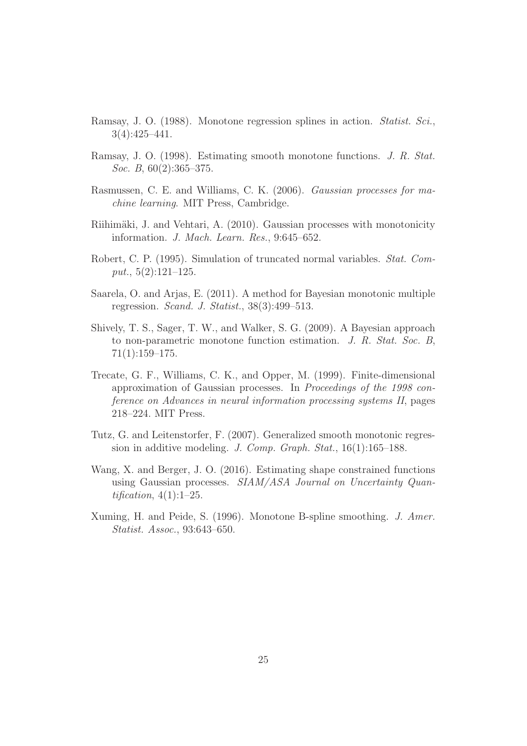- Ramsay, J. O. (1988). Monotone regression splines in action. Statist. Sci., 3(4):425–441.
- Ramsay, J. O. (1998). Estimating smooth monotone functions. J. R. Stat. Soc. B, 60(2):365–375.
- Rasmussen, C. E. and Williams, C. K. (2006). Gaussian processes for machine learning. MIT Press, Cambridge.
- Riihimäki, J. and Vehtari, A. (2010). Gaussian processes with monotonicity information. J. Mach. Learn. Res., 9:645–652.
- Robert, C. P. (1995). Simulation of truncated normal variables. Stat. Comput.,  $5(2):121-125$ .
- Saarela, O. and Arjas, E. (2011). A method for Bayesian monotonic multiple regression. Scand. J. Statist., 38(3):499–513.
- Shively, T. S., Sager, T. W., and Walker, S. G. (2009). A Bayesian approach to non-parametric monotone function estimation. J. R. Stat. Soc. B, 71(1):159–175.
- Trecate, G. F., Williams, C. K., and Opper, M. (1999). Finite-dimensional approximation of Gaussian processes. In Proceedings of the 1998 conference on Advances in neural information processing systems II, pages 218–224. MIT Press.
- Tutz, G. and Leitenstorfer, F. (2007). Generalized smooth monotonic regression in additive modeling. J. Comp. Graph. Stat., 16(1):165–188.
- Wang, X. and Berger, J. O. (2016). Estimating shape constrained functions using Gaussian processes. SIAM/ASA Journal on Uncertainty Quantification,  $4(1):1-25$ .
- Xuming, H. and Peide, S. (1996). Monotone B-spline smoothing. J. Amer. Statist. Assoc., 93:643–650.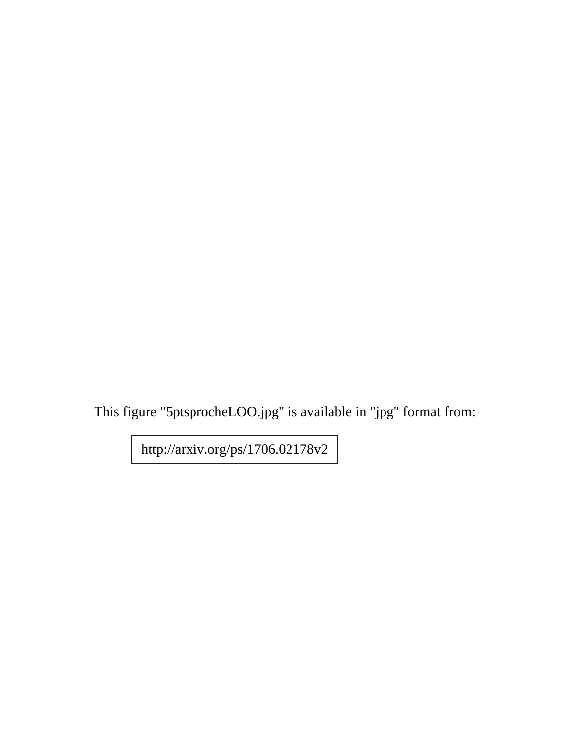This figure "5ptsprocheLOO.jpg" is available in "jpg" format from: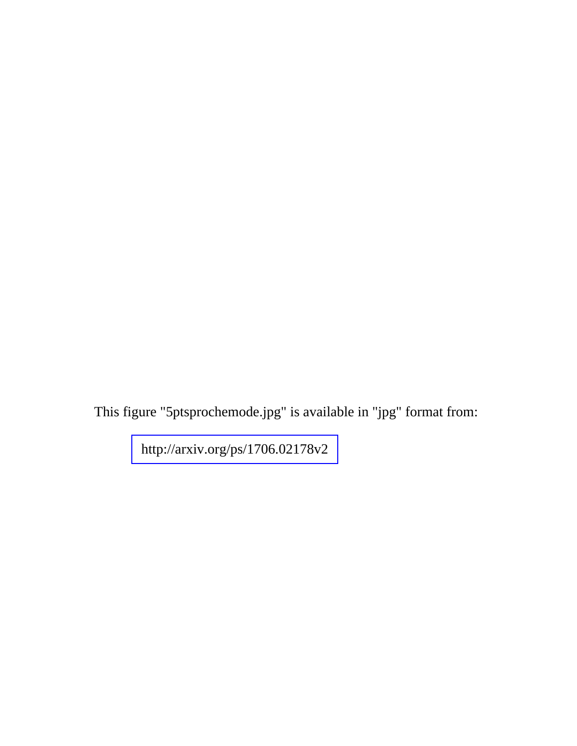This figure "5ptsprochemode.jpg" is available in "jpg" format from: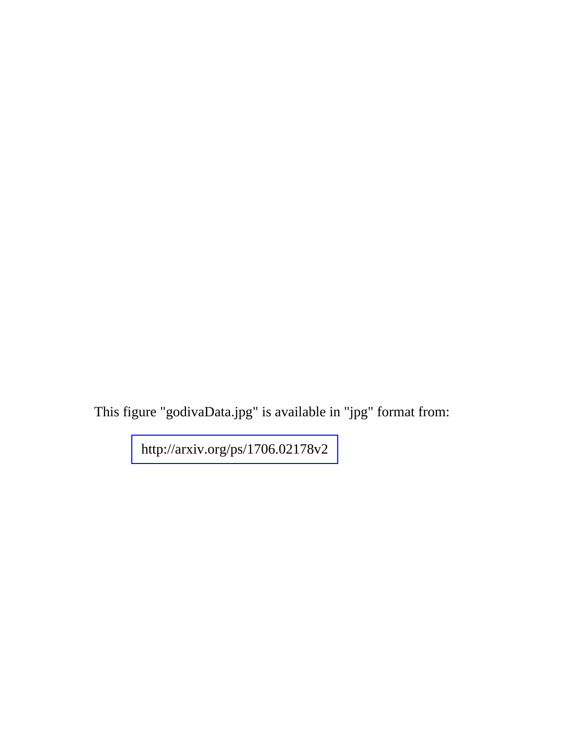This figure "godivaData.jpg" is available in "jpg" format from: